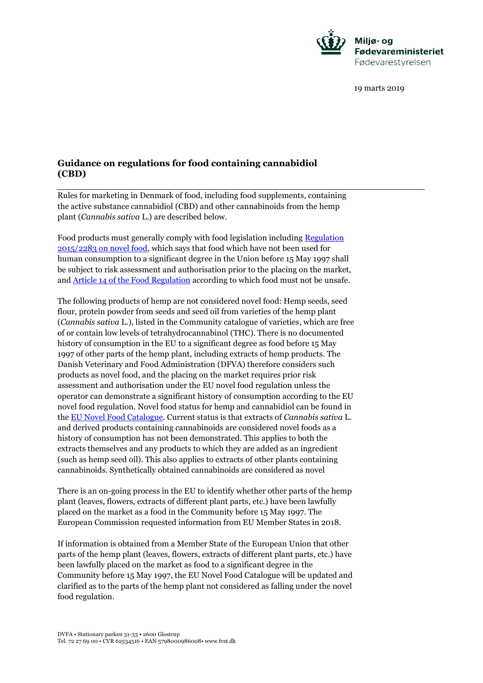

19 marts 2019

## **Guidance on regulations for food containing cannabidiol (CBD)**

Rules for marketing in Denmark of food, including food supplements, containing the active substance cannabidiol (CBD) and other cannabinoids from the hemp plant (*Cannabis sativa* L.) are described below.

Food products must generally comply with food legislation including [Regulation](https://eur-lex.europa.eu/legal-content/DA/TXT/PDF/?uri=CELEX:02015R2283-20151211&qid=1515402219894&from=DA)  [2015/2283 on novel food,](https://eur-lex.europa.eu/legal-content/DA/TXT/PDF/?uri=CELEX:02015R2283-20151211&qid=1515402219894&from=DA) which says that food which have not been used for human consumption to a significant degree in the Union before 15 May 1997 shall be subject to risk assessment and authorisation prior to the placing on the market, and [Article 14 of the Food Regulation](https://eur-lex.europa.eu/legal-content/DA/TXT/PDF/?uri=CELEX:32002R0178&from=DA) according to which food must not be unsafe.

The following products of hemp are not considered novel food: Hemp seeds, seed flour, protein powder from seeds and seed oil from varieties of the hemp plant (*Cannabis sativa* L.), listed in the Community catalogue of varieties, which are free of or contain low levels of tetrahydrocannabinol (THC). There is no documented history of consumption in the EU to a significant degree as food before 15 May 1997 of other parts of the hemp plant, including extracts of hemp products. The Danish Veterinary and Food Administration (DFVA) therefore considers such products as novel food, and the placing on the market requires prior risk assessment and authorisation under the EU novel food regulation unless the operator can demonstrate a significant history of consumption according to the EU novel food regulation. Novel food status for hemp and cannabidiol can be found in the [EU Novel Food Catalogue.](https://ec.europa.eu/food/safety/novel_food/catalogue_en) Current status is that extracts of *Cannabis sativa* L. and derived products containing cannabinoids are considered novel foods as a history of consumption has not been demonstrated. This applies to both the extracts themselves and any products to which they are added as an ingredient (such as hemp seed oil). This also applies to extracts of other plants containing cannabinoids. Synthetically obtained cannabinoids are considered as novel

There is an on-going process in the EU to identify whether other parts of the hemp plant (leaves, flowers, extracts of different plant parts, etc.) have been lawfully placed on the market as a food in the Community before 15 May 1997. The European Commission requested information from EU Member States in 2018.

If information is obtained from a Member State of the European Union that other parts of the hemp plant (leaves, flowers, extracts of different plant parts, etc.) have been lawfully placed on the market as food to a significant degree in the Community before 15 May 1997, the EU Novel Food Catalogue will be updated and clarified as to the parts of the hemp plant not considered as falling under the novel food regulation.